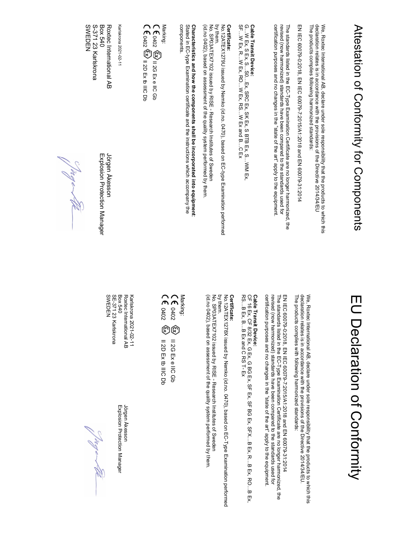# Attestation of Conformity for Components Attestation of Conformity for Components

The products complies following harmonized standards: We, Roxtec International AB, declare under sole responsibility that the products to which this<br>declaration relates is in accordance with the provisions of the Directive 2014/34/EU The products complies following harmonized standards: declaration relates is in accordance with the provisions of the Directive  $2014/34/\text{E}\text{U}$ We, Roxtec International AB, declare under sole responsibility that the products to which this

EN IEC 60079-0:2018, EN IEC 60079-7:2015/A1:2018 and EN 60079-31:2014 EN IEC 60079-0:2018, EN IEC 60079-7:2015/A1:2018 and EN 60079-31:2014

certification purposes and no changes in the "state of the art" apply to the equipment revised (now harmonized) standards have been compared to the standards used for The standards listed in the EC-Type Examination Certificate are no longer harmonized, the certification purposes and no changes in the "state of the art" apply to the equipment. revised (now harmonized) standards have been compared to the standards used for The standards listed in the EC-Type Examination Certificate are no longer harmonized, the

### Cable Transit Device:

Cable Transit Device:<br>G...W Ex, S Ex, S ... SO, ... Ex, SK Ex, S BTB Ex, S...WM Ex,<br>SF...W Ex, R....W Ex, RO....M Ex, RS...W Ex and B...C Ex SF…W Ex, R…W Ex, RO…W Ex, RS…W Ex and B…C Ex G…W Ex, SFR, S…SO…Ex, SRC Ex, SRC Ex, SRC Ex, SER Ex, S…WH Ex, S…W

#### Certificate: Certificate:

by them. No.12ATEX1279U issued by Nemko (id.no. 0470), based on EC-type Examination performed No.12ATEX1279U issued by Nemko (id.no. 0470), based on EC-type Examination performed

(id.no 0402), based on assessment of the quality system performed by them (id.no 0402), based on assessment of the quality system performed by them. No. SP03ATEX7102 issued by RISE - Research Institutes of Sweden No. SP03ATEX7102 issued by RISE - Research Institutes of Sweden

## Characteristics and how the components shall be incorporated into equipment :

components components.  $S$ tated in EC-type Examination certificate and the instructions which accompany the  $T$ 



Karlskrona 2021-02-11 Karlskrona 2021-02-11

S-371 23 Karlskrona<br>SWEDEN Roxtec International AB SWEDEN S-371 23 Karlskrona Box 540 Roxtec International AB Jörgen Åkesson

Box 640 Explosion Protection Manager - Days Canager - Days Canager - Days Canager - Days Canager - D Explosion Protection Manager Jörgen Akesson

## EU Declaration of Conformity EU Declaration of Conformity

We, Roxtec International AB, declare under sole responsibility that the products to which this<br>declaration relates is in accordance with the provisions of the Directive 2014/34/EU. The products complies with following harmonized standards: The products complies with following harmonized standards: declaration relates is in accordance with the provisions of the Directive 2014/34/EU. We, Roxtec International AB, declare under sole responsibility that the products to which this

revised (now harmonized) standards have been compared to the standards used for<br>certification purposes and no changes in the "state of the art" apply to the equipment. EN IEC 60079-0:2018, EN IEC 60079-7:2015/A1:2018 and EN 60079-31:2014 certification purposes and no changes in the "state of the art" apply to the equipment. revised (now harmonized) standards have been compared to the standards used for The standards listed in the EC-Type Examination Certificate are no longer harmonized, the The standards listed in the EC-Type Examination Certificate are no longer harmonized, the EN IEC 60079-0:2018, EN IEC 60079-7:2015/A1:2018 and EN 60079-31:2014

### Cable Transit Device:

**Cahle Transit Device:**<br>CF 16 Ex, CF 8/32 Ex, G Ex, G BG Ex, SF BG Ex, SFX...B Ex, R...B Ex, RO...B Ex,<br>RS...B Ex, B...B Ex and C RS T- Ex RS…B Ex, B…B Ex and C RS T- Ex CF 16 Ex, CF 8/32 Ex, G Ex, G BG Ex, SF Ex, SF BG Ex, SFX…B Ex, R…B Ex, RO…B Ex,

#### Certificate: Certificate:

by them. No.12ATEX1278X issued by Nemko (id.no. 0470), based on EC-Type Examination performed No.12ATEX1278X issued by Nemko (id.no. 0470), based on EC-Type Examination performed

No. SP03ATEX7102 issued by RISE - Research Institutes of Sweden (id.no 0402), based on assessment of the quality system performed by them (id.no 0402), based on assessment of the quality system performed by them. No. SP03ATEX7102 issued by RISE - Research Institutes of Sweden

Marking:<br>CE a402 <sup>@</sup> 0402 II 2D Ex tb IIIC Db 0402 II 2G Ex e IIC Gb II 2G Ex e IIC Gb II 2D Ex tb IIIC Db

**SWEDEN** Karlskrona 2021-02-11 SWEDEN SE-371 23 Karlskrona SE-371 23 Karlskrona Box 540 Roxtec International AB Roxtec International AB Jörgen Åkesson Karlskrona 2021-02-11

Box 540 Explosion Protection Manager Explosion Protection Manager Jörgen Åkesson